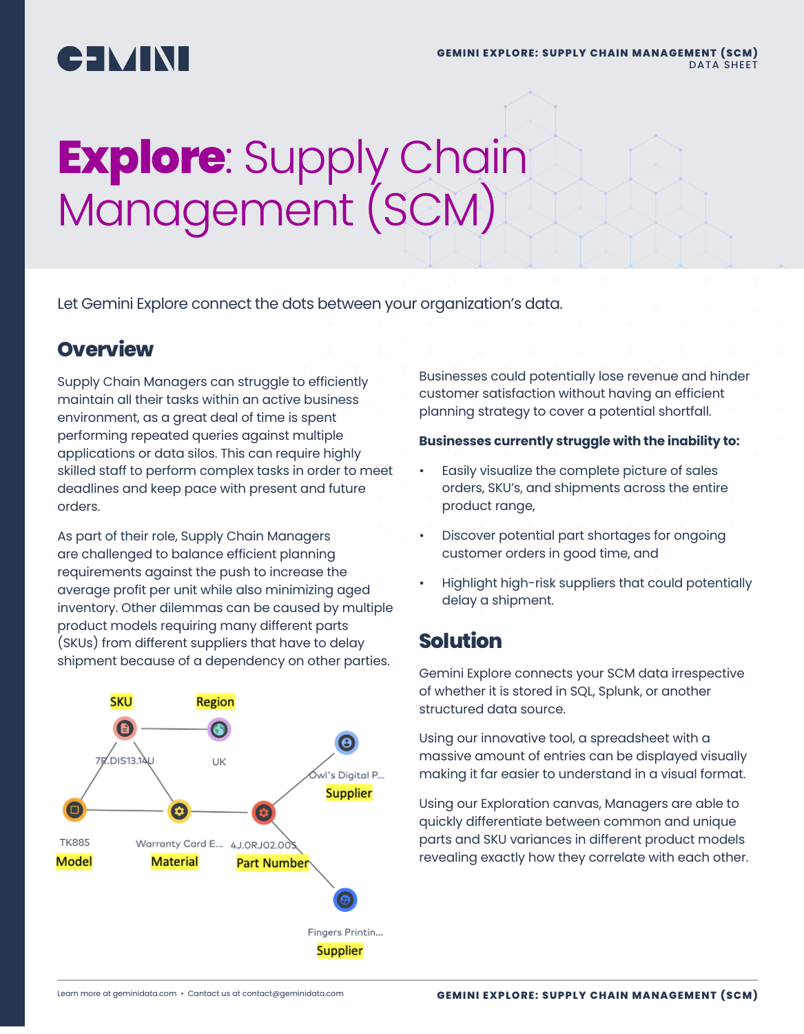# CIMINI

# **Explore**: Supply Chain Management (SCM)

Let Gemini Explore connect the dots between your organization's data.

#### **Overview**

Supply Chain Managers can struggle to efficiently maintain all their tasks within an active business environment, as a great deal of time is spent performing repeated queries against multiple applications or data silos. This can require highly skilled staff to perform complex tasks in order to meet deadlines and keep pace with present and future orders.

As part of their role, Supply Chain Managers are challenged to balance efficient planning requirements against the push to increase the average profit per unit while also minimizing aged inventory. Other dilemmas can be caused by multiple product models requiring many different parts (SKUs) from different suppliers that have to delay shipment because of a dependency on other parties.



Businesses could potentially lose revenue and hinder customer satisfaction without having an efficient planning strategy to cover a potential shortfall.

#### **Businesses currently struggle with the inability to:**

- Easily visualize the complete picture of sales orders, SKU's, and shipments across the entire product range,
- Discover potential part shortages for ongoing customer orders in good time, and
- Highlight high-risk suppliers that could potentially delay a shipment.

## **Solution**

Gemini Explore connects your SCM data irrespective of whether it is stored in SQL, Splunk, or another structured data source.

Using our innovative tool, a spreadsheet with a massive amount of entries can be displayed visually making it far easier to understand in a visual format.

Using our Exploration canvas, Managers are able to quickly differentiate between common and unique parts and SKU variances in different product models revealing exactly how they correlate with each other.